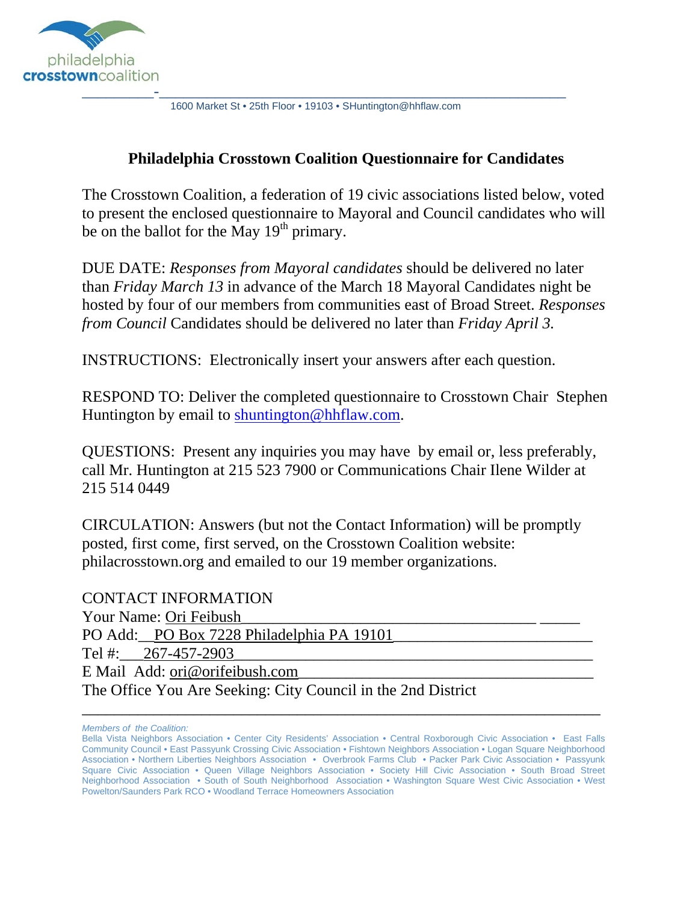

1600 Market St • 25th Floor • 19103 • SHuntington@hhflaw.com

#### **Philadelphia Crosstown Coalition Questionnaire for Candidates**

The Crosstown Coalition, a federation of 19 civic associations listed below, voted to present the enclosed questionnaire to Mayoral and Council candidates who will be on the ballot for the May  $19<sup>th</sup>$  primary.

DUE DATE: *Responses from Mayoral candidates* should be delivered no later than *Friday March 13* in advance of the March 18 Mayoral Candidates night be hosted by four of our members from communities east of Broad Street. *Responses from Council* Candidates should be delivered no later than *Friday April 3.*

INSTRUCTIONS: Electronically insert your answers after each question.

RESPOND TO: Deliver the completed questionnaire to Crosstown Chair Stephen Huntington by email to shuntington@hhflaw.com.

QUESTIONS: Present any inquiries you may have by email or, less preferably, call Mr. Huntington at 215 523 7900 or Communications Chair Ilene Wilder at 215 514 0449

CIRCULATION: Answers (but not the Contact Information) will be promptly posted, first come, first served, on the Crosstown Coalition website: philacrosstown.org and emailed to our 19 member organizations.

CONTACT INFORMATION Your Name: Ori Feibush PO Add: PO Box 7228 Philadelphia PA 19101 Tel #:  $267-457-2903$ E Mail Add: ori@orifeibush.com The Office You Are Seeking: City Council in the 2nd District

*Members of the Coalition:*

\_\_\_\_\_\_\_\_\_\_\_\_\_\_\_\_\_\_\_\_\_\_\_\_\_\_\_\_\_\_\_\_\_\_\_\_\_\_\_\_\_\_\_\_\_\_\_\_\_\_\_\_\_\_\_\_\_\_\_\_\_\_\_\_\_

Bella Vista Neighbors Association • Center City Residents' Association • Central Roxborough Civic Association • East Falls Community Council • East Passyunk Crossing Civic Association • Fishtown Neighbors Association • Logan Square Neighborhood Association • Northern Liberties Neighbors Association • Overbrook Farms Club • Packer Park Civic Association • Passyunk Square Civic Association • Queen Village Neighbors Association • Society Hill Civic Association • South Broad Street Neighborhood Association • South of South Neighborhood Association • Washington Square West Civic Association • West Powelton/Saunders Park RCO • Woodland Terrace Homeowners Association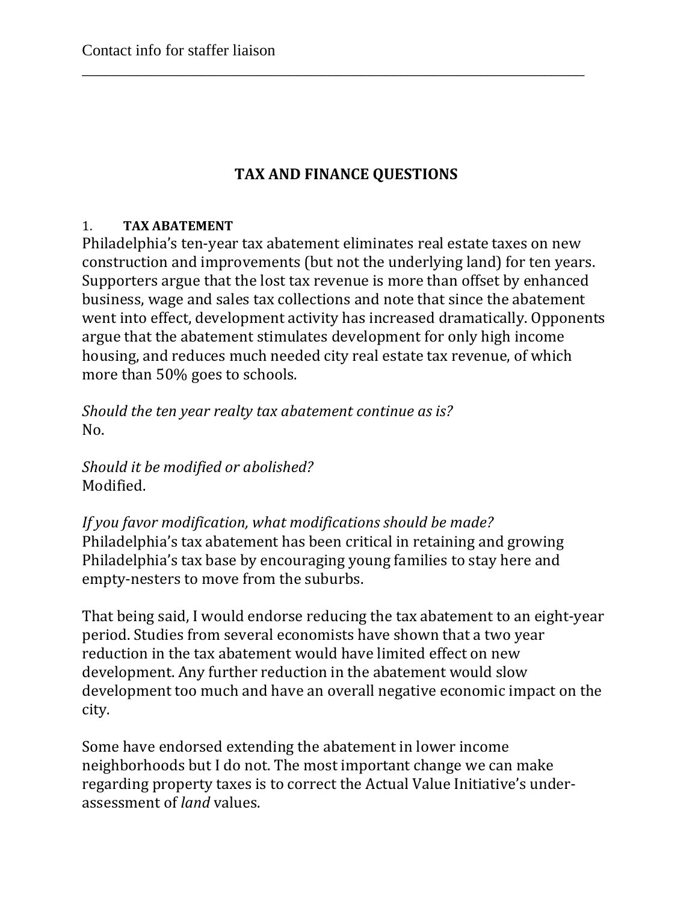# **TAX AND FINANCE QUESTIONS**

\_\_\_\_\_\_\_\_\_\_\_\_\_\_\_\_\_\_\_\_\_\_\_\_\_\_\_\_\_\_\_\_\_\_\_\_\_\_\_\_\_\_\_\_\_\_\_\_\_\_\_\_\_\_\_\_\_\_\_\_\_\_\_

#### 1. **TAX ABATEMENT**

Philadelphia's ten-year tax abatement eliminates real estate taxes on new construction and improvements (but not the underlying land) for ten years. Supporters argue that the lost tax revenue is more than offset by enhanced business, wage and sales tax collections and note that since the abatement went into effect, development activity has increased dramatically. Opponents argue that the abatement stimulates development for only high income housing, and reduces much needed city real estate tax revenue, of which more than 50% goes to schools.

*Should the ten year realty tax abatement continue as is?* No.

*Should it be modified or abolished?* Modified.

*If you favor modification, what modifications should be made?* Philadelphia's tax abatement has been critical in retaining and growing Philadelphia's tax base by encouraging young families to stay here and empty-nesters to move from the suburbs.

That being said, I would endorse reducing the tax abatement to an eight-year period. Studies from several economists have shown that a two year reduction in the tax abatement would have limited effect on new development. Any further reduction in the abatement would slow development too much and have an overall negative economic impact on the city.

Some have endorsed extending the abatement in lower income neighborhoods but I do not. The most important change we can make regarding property taxes is to correct the Actual Value Initiative's underassessment of *land* values.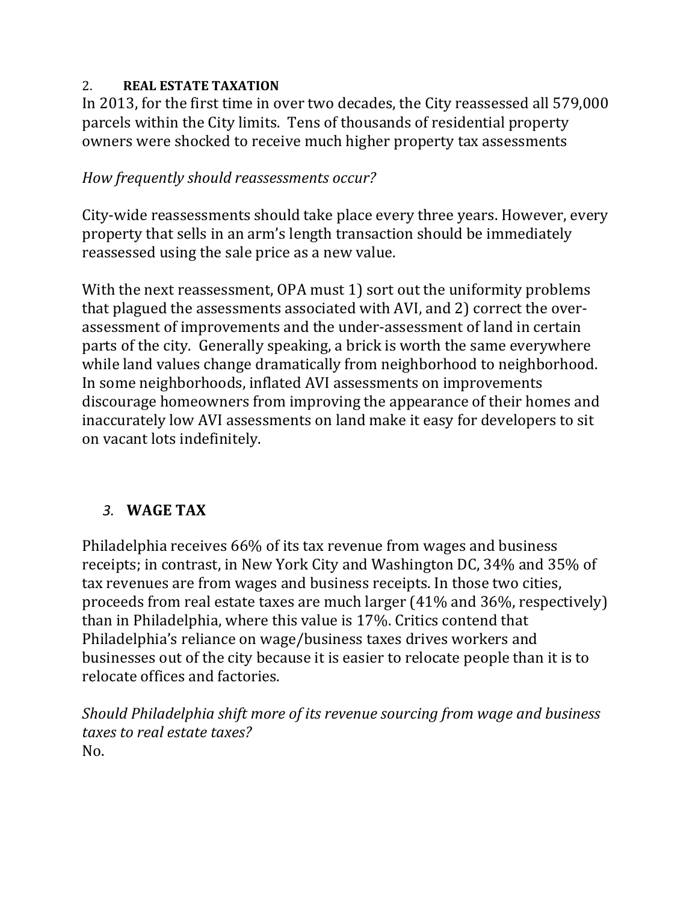#### 2. **REAL ESTATE TAXATION**

In 2013, for the first time in over two decades, the City reassessed all 579,000 parcels within the City limits. Tens of thousands of residential property owners were shocked to receive much higher property tax assessments

### *How frequently should reassessments occur?*

City-wide reassessments should take place every three years. However, every property that sells in an arm's length transaction should be immediately reassessed using the sale price as a new value.

With the next reassessment, OPA must 1) sort out the uniformity problems that plagued the assessments associated with AVI, and 2) correct the overassessment of improvements and the under-assessment of land in certain parts of the city. Generally speaking, a brick is worth the same everywhere while land values change dramatically from neighborhood to neighborhood. In some neighborhoods, inflated AVI assessments on improvements discourage homeowners from improving the appearance of their homes and inaccurately low AVI assessments on land make it easy for developers to sit on vacant lots indefinitely.

# *3.* **WAGE TAX**

Philadelphia receives 66% of its tax revenue from wages and business receipts; in contrast, in New York City and Washington DC, 34% and 35% of tax revenues are from wages and business receipts. In those two cities, proceeds from real estate taxes are much larger  $(41\%$  and  $36\%$ , respectively) than in Philadelphia, where this value is 17%. Critics contend that Philadelphia's reliance on wage/business taxes drives workers and businesses out of the city because it is easier to relocate people than it is to relocate offices and factories.

*Should Philadelphia shift more of its revenue sourcing from wage and business taxes to real estate taxes?* No.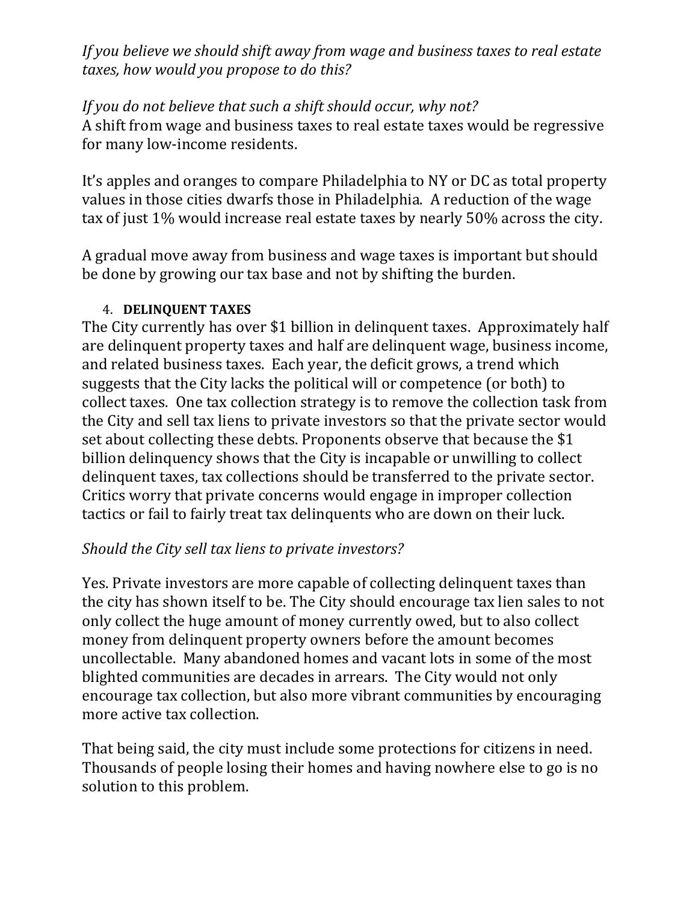*If you believe we should shift away from wage and business taxes to real estate taxes, how would you propose to do this?*

#### *If you do not believe that such a shift should occur, why not?*

A shift from wage and business taxes to real estate taxes would be regressive for many low-income residents.

It's apples and oranges to compare Philadelphia to NY or DC as total property values in those cities dwarfs those in Philadelphia. A reduction of the wage tax of just 1% would increase real estate taxes by nearly 50% across the city.

A gradual move away from business and wage taxes is important but should be done by growing our tax base and not by shifting the burden.

#### 4. **DELINQUENT TAXES**

The City currently has over \$1 billion in delinguent taxes. Approximately half are delinquent property taxes and half are delinquent wage, business income, and related business taxes. Each year, the deficit grows, a trend which suggests that the City lacks the political will or competence (or both) to collect taxes. One tax collection strategy is to remove the collection task from the City and sell tax liens to private investors so that the private sector would set about collecting these debts. Proponents observe that because the \$1 billion delinquency shows that the City is incapable or unwilling to collect delinquent taxes, tax collections should be transferred to the private sector. Critics worry that private concerns would engage in improper collection tactics or fail to fairly treat tax delinquents who are down on their luck.

# *Should the City sell tax liens to private investors?*

Yes. Private investors are more capable of collecting delinquent taxes than the city has shown itself to be. The City should encourage tax lien sales to not only collect the huge amount of money currently owed, but to also collect money from delinquent property owners before the amount becomes uncollectable. Many abandoned homes and vacant lots in some of the most blighted communities are decades in arrears. The City would not only encourage tax collection, but also more vibrant communities by encouraging more active tax collection.

That being said, the city must include some protections for citizens in need. Thousands of people losing their homes and having nowhere else to go is no solution to this problem.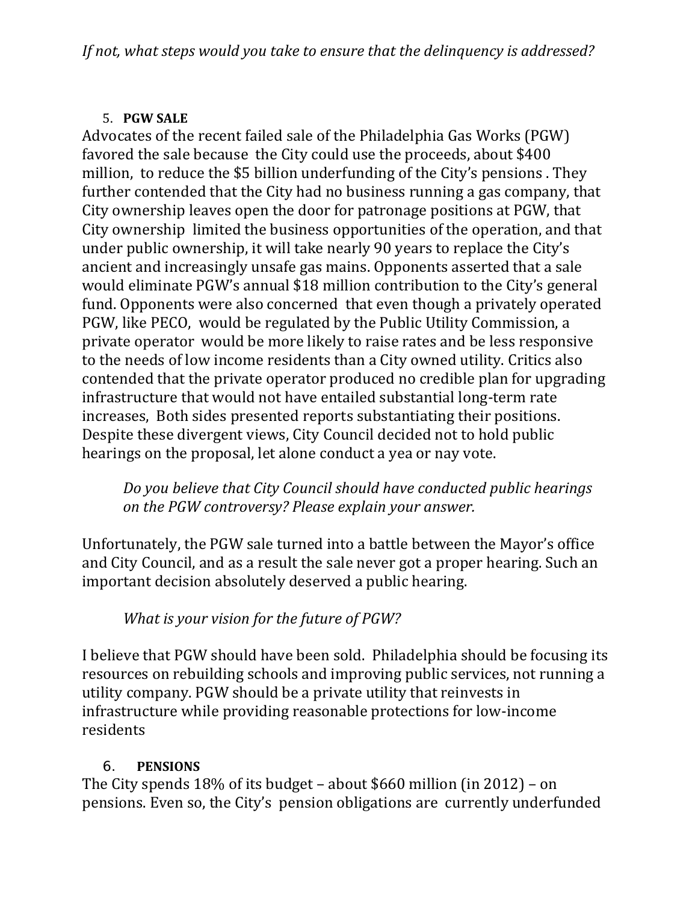### 5. **PGW SALE**

Advocates of the recent failed sale of the Philadelphia Gas Works (PGW) favored the sale because the City could use the proceeds, about \$400 million, to reduce the \$5 billion underfunding of the City's pensions. They further contended that the City had no business running a gas company, that City ownership leaves open the door for patronage positions at PGW, that City ownership limited the business opportunities of the operation, and that under public ownership, it will take nearly 90 years to replace the City's ancient and increasingly unsafe gas mains. Opponents asserted that a sale would eliminate PGW's annual \$18 million contribution to the City's general fund. Opponents were also concerned that even though a privately operated PGW, like PECO, would be regulated by the Public Utility Commission, a private operator would be more likely to raise rates and be less responsive to the needs of low income residents than a City owned utility. Critics also contended that the private operator produced no credible plan for upgrading infrastructure that would not have entailed substantial long-term rate increases, Both sides presented reports substantiating their positions. Despite these divergent views, City Council decided not to hold public hearings on the proposal, let alone conduct a yea or nay vote.

*Do you believe that City Council should have conducted public hearings on the PGW controversy? Please explain your answer.*

Unfortunately, the PGW sale turned into a battle between the Mayor's office and City Council, and as a result the sale never got a proper hearing. Such an important decision absolutely deserved a public hearing.

*What is your vision for the future of PGW?*

I believe that PGW should have been sold. Philadelphia should be focusing its resources on rebuilding schools and improving public services, not running a utility company. PGW should be a private utility that reinvests in infrastructure while providing reasonable protections for low-income residents 

# 6. **PENSIONS**

The City spends  $18\%$  of its budget – about \$660 million (in 2012) – on pensions. Even so, the City's pension obligations are currently underfunded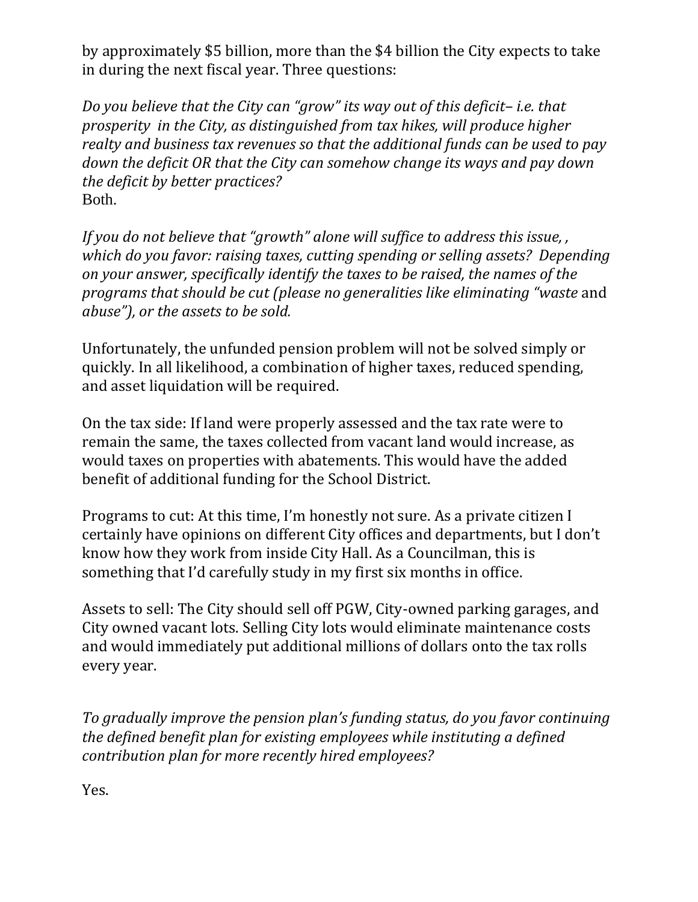by approximately \$5 billion, more than the \$4 billion the City expects to take in during the next fiscal year. Three questions:

*Do you believe that the City can "grow" its way out of this deficit– i.e. that prosperity in the City, as distinguished from tax hikes, will produce higher realty and business tax revenues so that the additional funds can be used to pay down the deficit OR that the City can somehow change its ways and pay down the deficit by better practices?* Both.

*If you do not believe that "growth" alone will suffice to address this issue, , which do you favor: raising taxes, cutting spending or selling assets? Depending on your answer, specifically identify the taxes to be raised, the names of the programs that should be cut (please no generalities like eliminating "waste* and *abuse"), or the assets to be sold.*

Unfortunately, the unfunded pension problem will not be solved simply or quickly. In all likelihood, a combination of higher taxes, reduced spending, and asset liquidation will be required.

On the tax side: If land were properly assessed and the tax rate were to remain the same, the taxes collected from vacant land would increase, as would taxes on properties with abatements. This would have the added benefit of additional funding for the School District.

Programs to cut: At this time, I'm honestly not sure. As a private citizen I certainly have opinions on different City offices and departments, but I don't know how they work from inside City Hall. As a Councilman, this is something that I'd carefully study in my first six months in office.

Assets to sell: The City should sell off PGW, City-owned parking garages, and City owned vacant lots. Selling City lots would eliminate maintenance costs and would immediately put additional millions of dollars onto the tax rolls every year.

*To gradually improve the pension plan's funding status, do you favor continuing the defined benefit plan for existing employees while instituting a defined contribution plan for more recently hired employees?*

Yes.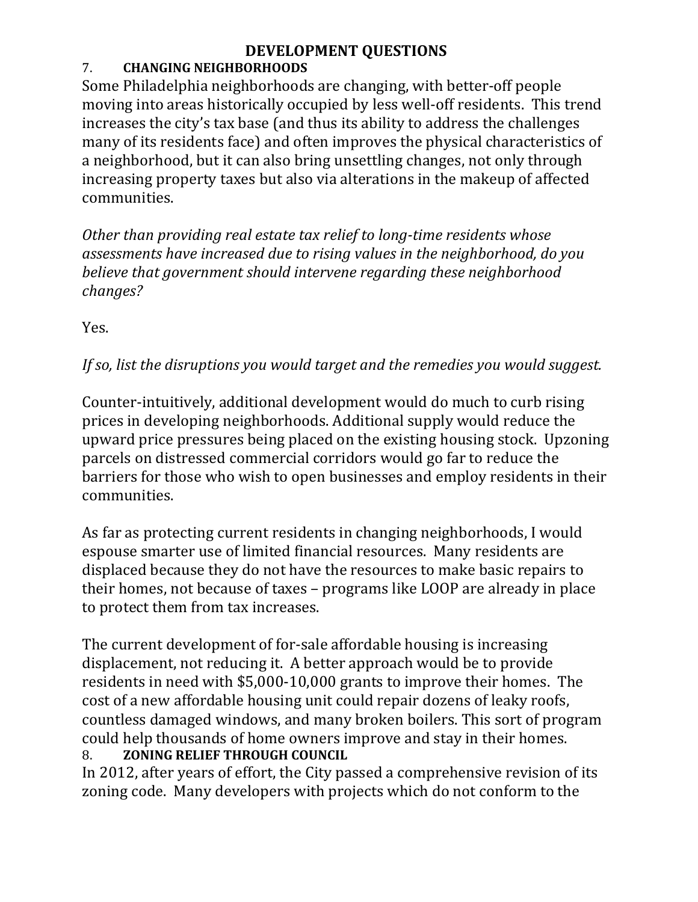# **DEVELOPMENT QUESTIONS**

## 7. **CHANGING NEIGHBORHOODS**

Some Philadelphia neighborhoods are changing, with better-off people moving into areas historically occupied by less well-off residents. This trend increases the city's tax base (and thus its ability to address the challenges many of its residents face) and often improves the physical characteristics of a neighborhood, but it can also bring unsettling changes, not only through increasing property taxes but also via alterations in the makeup of affected communities. 

*Other than providing real estate tax relief to long‐time residents whose assessments have increased due to rising values in the neighborhood, do you believe that government should intervene regarding these neighborhood changes?*

Yes. 

# *If so, list the disruptions you would target and the remedies you would suggest.*

Counter-intuitively, additional development would do much to curb rising prices in developing neighborhoods. Additional supply would reduce the upward price pressures being placed on the existing housing stock. Upzoning parcels on distressed commercial corridors would go far to reduce the barriers for those who wish to open businesses and employ residents in their communities.

As far as protecting current residents in changing neighborhoods, I would espouse smarter use of limited financial resources. Many residents are displaced because they do not have the resources to make basic repairs to their homes, not because of taxes – programs like LOOP are already in place to protect them from tax increases.

The current development of for-sale affordable housing is increasing displacement, not reducing it. A better approach would be to provide residents in need with  $$5,000-10,000$  grants to improve their homes. The cost of a new affordable housing unit could repair dozens of leaky roofs, countless damaged windows, and many broken boilers. This sort of program could help thousands of home owners improve and stay in their homes. 8. **ZONING RELIEF THROUGH COUNCIL**

In 2012, after years of effort, the City passed a comprehensive revision of its zoning code. Many developers with projects which do not conform to the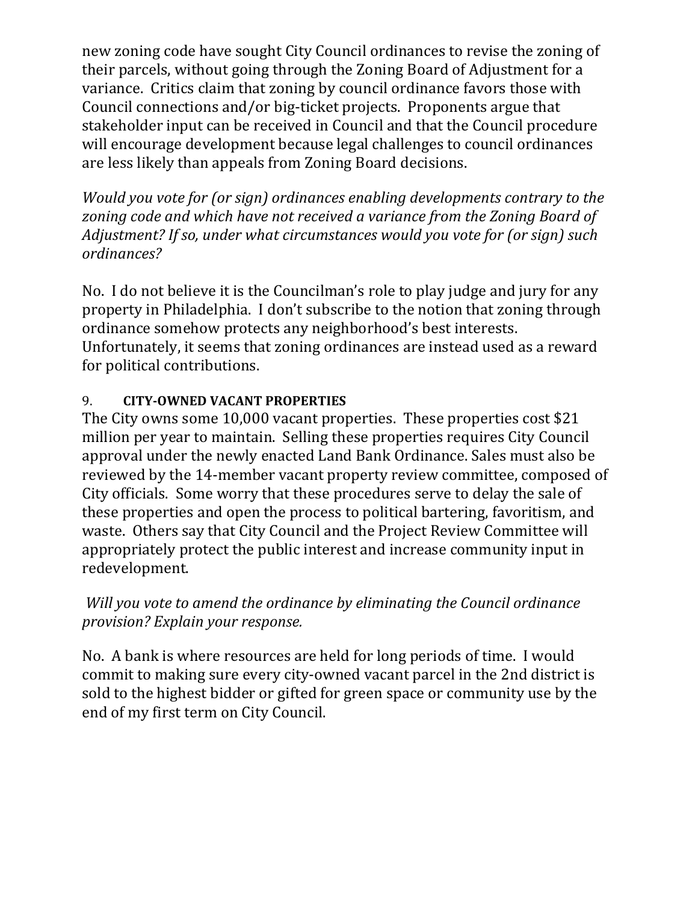new zoning code have sought City Council ordinances to revise the zoning of their parcels, without going through the Zoning Board of Adjustment for a variance. Critics claim that zoning by council ordinance favors those with Council connections and/or big-ticket projects. Proponents argue that stakeholder input can be received in Council and that the Council procedure will encourage development because legal challenges to council ordinances are less likely than appeals from Zoning Board decisions.

*Would you vote for (or sign) ordinances enabling developments contrary to the zoning code and which have not received a variance from the Zoning Board of Adjustment? If so, under what circumstances would you vote for (or sign) such ordinances?*

No. I do not believe it is the Councilman's role to play judge and jury for any property in Philadelphia. I don't subscribe to the notion that zoning through ordinance somehow protects any neighborhood's best interests. Unfortunately, it seems that zoning ordinances are instead used as a reward for political contributions.

### 9. **CITY‐OWNED VACANT PROPERTIES**

The City owns some 10,000 vacant properties. These properties cost \$21 million per year to maintain. Selling these properties requires City Council approval under the newly enacted Land Bank Ordinance. Sales must also be reviewed by the 14-member vacant property review committee, composed of City officials. Some worry that these procedures serve to delay the sale of these properties and open the process to political bartering, favoritism, and waste. Others say that City Council and the Project Review Committee will appropriately protect the public interest and increase community input in redevelopment. 

# *Will you vote to amend the ordinance by eliminating the Council ordinance provision? Explain your response.*

No. A bank is where resources are held for long periods of time. I would commit to making sure every city-owned vacant parcel in the 2nd district is sold to the highest bidder or gifted for green space or community use by the end of my first term on City Council.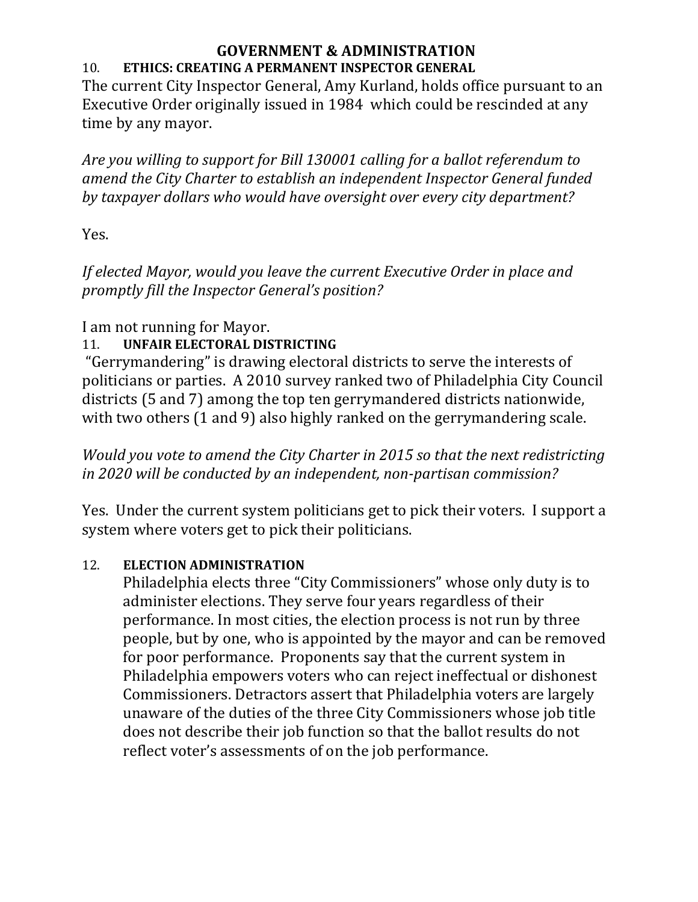#### **GOVERNMENT & ADMINISTRATION** 10. **ETHICS: CREATING A PERMANENT INSPECTOR GENERAL**

The current City Inspector General, Amy Kurland, holds office pursuant to an Executive Order originally issued in 1984 which could be rescinded at any time by any mayor.

*Are you willing to support for Bill 130001 calling for a ballot referendum to amend the City Charter to establish an independent Inspector General funded by taxpayer dollars who would have oversight over every city department?*

Yes.

*If elected Mayor, would you leave the current Executive Order in place and promptly fill the Inspector General's position?*

# I am not running for Mayor.

# 11. **UNFAIR ELECTORAL DISTRICTING**

"Gerrymandering" is drawing electoral districts to serve the interests of politicians or parties. A 2010 survey ranked two of Philadelphia City Council districts (5 and 7) among the top ten gerrymandered districts nationwide, with two others  $(1 \text{ and } 9)$  also highly ranked on the gerrymandering scale.

*Would you vote to amend the City Charter in 2015 so that the next redistricting in 2020 will be conducted by an independent, non‐partisan commission?*

Yes. Under the current system politicians get to pick their voters. I support a system where voters get to pick their politicians.

# 12. **ELECTION ADMINISTRATION**

Philadelphia elects three "City Commissioners" whose only duty is to administer elections. They serve four years regardless of their performance. In most cities, the election process is not run by three people, but by one, who is appointed by the mayor and can be removed for poor performance. Proponents say that the current system in Philadelphia empowers voters who can reject ineffectual or dishonest Commissioners. Detractors assert that Philadelphia voters are largely unaware of the duties of the three City Commissioners whose job title does not describe their job function so that the ballot results do not reflect voter's assessments of on the job performance.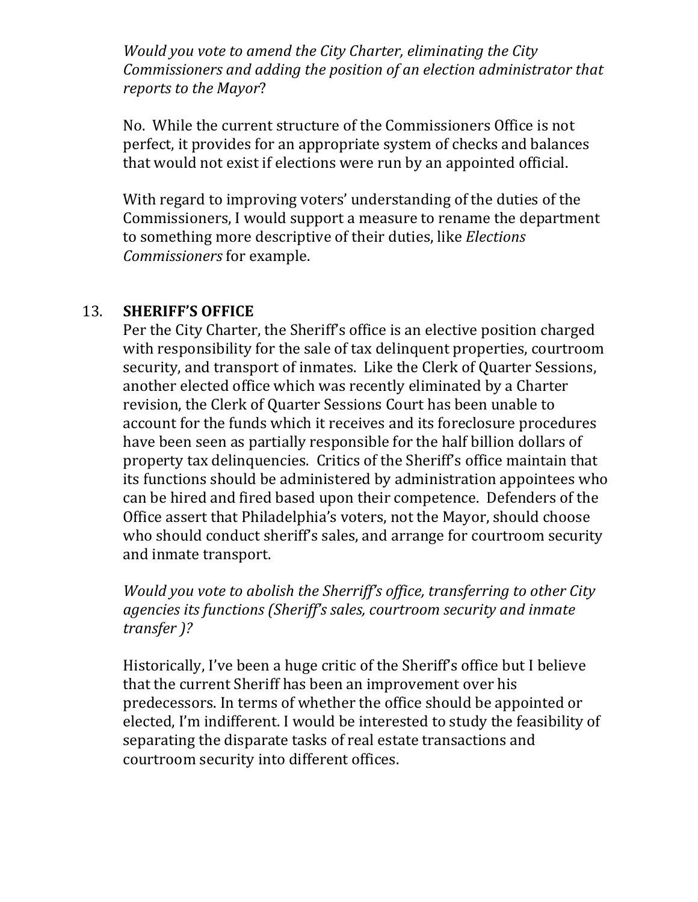*Would you vote to amend the City Charter, eliminating the City Commissioners and adding the position of an election administrator that reports to the Mayor*?

No. While the current structure of the Commissioners Office is not perfect, it provides for an appropriate system of checks and balances that would not exist if elections were run by an appointed official.

With regard to improving voters' understanding of the duties of the Commissioners, I would support a measure to rename the department to something more descriptive of their duties, like *Elections Commissioners* for example.

#### 13. **SHERIFF'S OFFICE**

Per the City Charter, the Sheriff's office is an elective position charged with responsibility for the sale of tax delinquent properties, courtroom security, and transport of inmates. Like the Clerk of Quarter Sessions, another elected office which was recently eliminated by a Charter revision, the Clerk of Quarter Sessions Court has been unable to account for the funds which it receives and its foreclosure procedures have been seen as partially responsible for the half billion dollars of property tax delinquencies. Critics of the Sheriff's office maintain that its functions should be administered by administration appointees who can be hired and fired based upon their competence. Defenders of the Office assert that Philadelphia's voters, not the Mayor, should choose who should conduct sheriff's sales, and arrange for courtroom security and inmate transport.

*Would you vote to abolish the Sherriff's office, transferring to other City agencies its functions (Sheriff's sales, courtroom security and inmate transfer )?*

Historically, I've been a huge critic of the Sheriff's office but I believe that the current Sheriff has been an improvement over his predecessors. In terms of whether the office should be appointed or elected, I'm indifferent. I would be interested to study the feasibility of separating the disparate tasks of real estate transactions and courtroom security into different offices.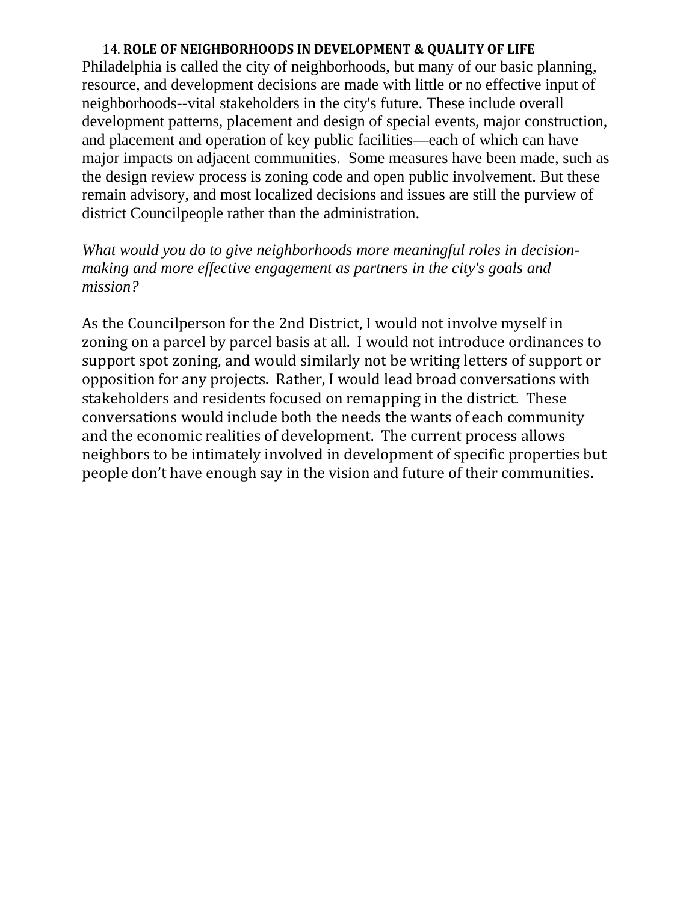#### 14. **ROLE OF NEIGHBORHOODS IN DEVELOPMENT & QUALITY OF LIFE**

Philadelphia is called the city of neighborhoods, but many of our basic planning, resource, and development decisions are made with little or no effective input of neighborhoods--vital stakeholders in the city's future. These include overall development patterns, placement and design of special events, major construction, and placement and operation of key public facilities—each of which can have major impacts on adjacent communities. Some measures have been made, such as the design review process is zoning code and open public involvement. But these remain advisory, and most localized decisions and issues are still the purview of district Councilpeople rather than the administration.

*What would you do to give neighborhoods more meaningful roles in decisionmaking and more effective engagement as partners in the city's goals and mission?*

As the Councilperson for the 2nd District, I would not involve myself in zoning on a parcel by parcel basis at all. I would not introduce ordinances to support spot zoning, and would similarly not be writing letters of support or opposition for any projects. Rather, I would lead broad conversations with stakeholders and residents focused on remapping in the district. These conversations would include both the needs the wants of each community and the economic realities of development. The current process allows neighbors to be intimately involved in development of specific properties but people don't have enough say in the vision and future of their communities.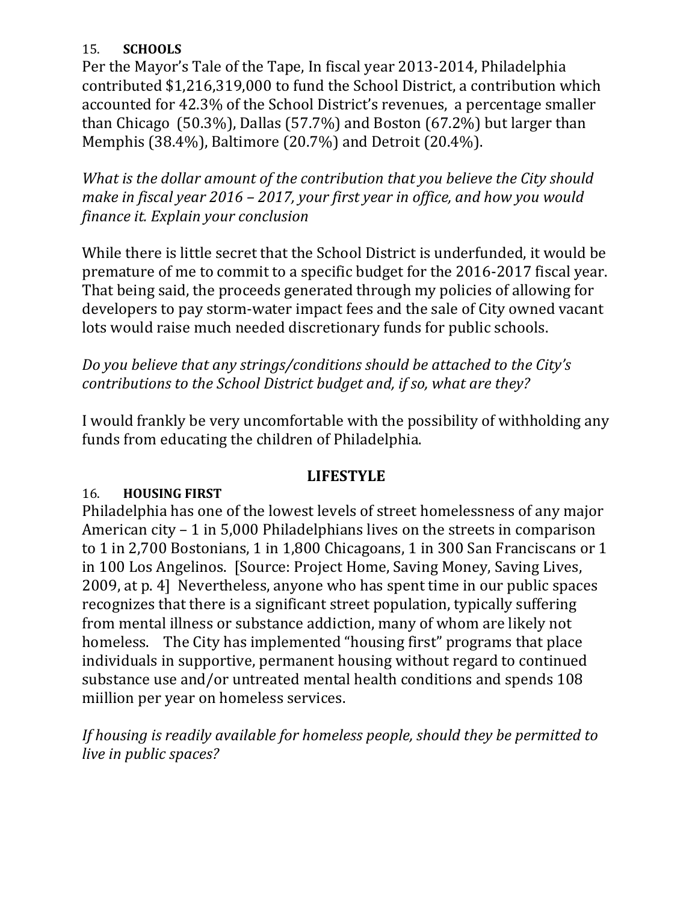#### 15. **SCHOOLS**

Per the Mayor's Tale of the Tape, In fiscal year 2013-2014, Philadelphia contributed \$1,216,319,000 to fund the School District, a contribution which accounted for 42.3% of the School District's revenues, a percentage smaller than Chicago  $(50.3\%)$ , Dallas  $(57.7\%)$  and Boston  $(67.2\%)$  but larger than Memphis (38.4%), Baltimore (20.7%) and Detroit (20.4%).

*What is the dollar amount of the contribution that you believe the City should make in fiscal year 2016 – 2017, your first year in office, and how you would finance it. Explain your conclusion*

While there is little secret that the School District is underfunded, it would be premature of me to commit to a specific budget for the 2016-2017 fiscal year. That being said, the proceeds generated through my policies of allowing for developers to pay storm-water impact fees and the sale of City owned vacant lots would raise much needed discretionary funds for public schools.

*Do you believe that any strings/conditions should be attached to the City's contributions to the School District budget and, if so, what are they?*

I would frankly be very uncomfortable with the possibility of withholding any funds from educating the children of Philadelphia.

#### **LIFESTYLE**

#### 16. **HOUSING FIRST**

Philadelphia has one of the lowest levels of street homelessness of any major American  $city - 1$  in 5,000 Philadelphians lives on the streets in comparison to 1 in 2,700 Bostonians, 1 in 1,800 Chicagoans, 1 in 300 San Franciscans or 1 in 100 Los Angelinos. [Source: Project Home, Saving Money, Saving Lives, 2009, at p. 4] Nevertheless, anyone who has spent time in our public spaces recognizes that there is a significant street population, typically suffering from mental illness or substance addiction, many of whom are likely not homeless. The City has implemented "housing first" programs that place individuals in supportive, permanent housing without regard to continued substance use and/or untreated mental health conditions and spends 108 miillion per year on homeless services.

*If housing is readily available for homeless people, should they be permitted to live in public spaces?*